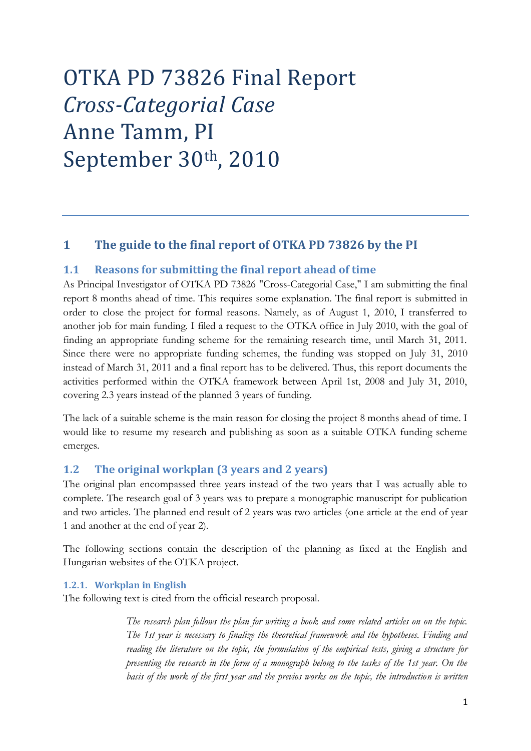# OTKA PD 73826 Final Report *Cross-Categorial Case* Anne Tamm, PI September 30th, 2010

# <span id="page-0-0"></span>**1 The guide to the final report of OTKA PD 73826 by the PI**

## <span id="page-0-1"></span>**1.1 Reasons for submitting the final report ahead of time**

As Principal Investigator of OTKA PD 73826 "Cross-Categorial Case," I am submitting the final report 8 months ahead of time. This requires some explanation. The final report is submitted in order to close the project for formal reasons. Namely, as of August 1, 2010, I transferred to another job for main funding. I filed a request to the OTKA office in July 2010, with the goal of finding an appropriate funding scheme for the remaining research time, until March 31, 2011. Since there were no appropriate funding schemes, the funding was stopped on July 31, 2010 instead of March 31, 2011 and a final report has to be delivered. Thus, this report documents the activities performed within the OTKA framework between April 1st, 2008 and July 31, 2010, covering 2.3 years instead of the planned 3 years of funding.

The lack of a suitable scheme is the main reason for closing the project 8 months ahead of time. I would like to resume my research and publishing as soon as a suitable OTKA funding scheme emerges.

# <span id="page-0-2"></span>**1.2 The original workplan (3 years and 2 years)**

The original plan encompassed three years instead of the two years that I was actually able to complete. The research goal of 3 years was to prepare a monographic manuscript for publication and two articles. The planned end result of 2 years was two articles (one article at the end of year 1 and another at the end of year 2).

The following sections contain the description of the planning as fixed at the English and Hungarian websites of the OTKA project.

## <span id="page-0-3"></span>**1.2.1. Workplan in English**

The following text is cited from the official research proposal.

*The research plan follows the plan for writing a book and some related articles on on the topic. The 1st year is necessary to finalize the theoretical framework and the hypotheses. Finding and reading the literature on the topic, the formulation of the empirical tests, giving a structure for presenting the research in the form of a monograph belong to the tasks of the 1st year. On the basis of the work of the first year and the previos works on the topic, the introduction is written*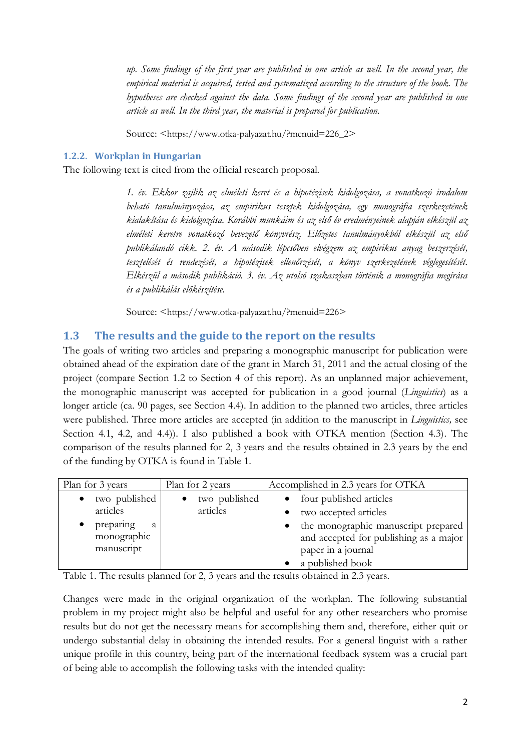*up. Some findings of the first year are published in one article as well. In the second year, the empirical material is acquired, tested and systematized according to the structure of the book. The hypotheses are checked against the data. Some findings of the second year are published in one article as well. In the third year, the material is prepared for publication.*

Source: <https://www.otka-palyazat.hu/?menuid=226\_2>

#### <span id="page-1-0"></span>**1.2.2. Workplan in Hungarian**

The following text is cited from the official research proposal.

*1. év. Ekkor zajlik az elméleti keret és a hipotézisek kidolgozása, a vonatkozó irodalom beható tanulmányozása, az empirikus tesztek kidolgozása, egy monográfia szerkezetének kialakítása és kidolgozása. Korábbi munkáim és az első év eredményeinek alapján elkészül az elméleti keretre vonatkozó bevezető könyvrész. Előzetes tanulmányokból elkészül az első publikálandó cikk. 2. év. A második lépcsőben elvégzem az empirikus anyag beszerzését, tesztelését és rendezését, a hipotézisek ellenőrzését, a könyv szerkezetének véglegesítését. Elkészül a második publikáció. 3. év. Az utolsó szakaszban történik a monográfia megírása és a publikálás előkészítése.*

Source: <https://www.otka-palyazat.hu/?menuid=226>

## <span id="page-1-1"></span>**1.3 The results and the guide to the report on the results**

The goals of writing two articles and preparing a monographic manuscript for publication were obtained ahead of the expiration date of the grant in March 31, 2011 and the actual closing of the project (compare Section 1.2 to Section 4 of this report). As an unplanned major achievement, the monographic manuscript was accepted for publication in a good journal (*Linguistics*) as a longer article (ca. 90 pages, see Section 4.4). In addition to the planned two articles, three articles were published. Three more articles are accepted (in addition to the manuscript in *Linguistics,* see Section 4.1, 4.2, and 4.4)). I also published a book with OTKA mention (Section 4.3). The comparison of the results planned for 2, 3 years and the results obtained in 2.3 years by the end of the funding by OTKA is found in Table 1.

| Plan for 3 years                            | Plan for 2 years | Accomplished in 2.3 years for OTKA                                                                                                   |  |  |
|---------------------------------------------|------------------|--------------------------------------------------------------------------------------------------------------------------------------|--|--|
| two published                               | two published    | four published articles                                                                                                              |  |  |
| articles                                    | articles         | two accepted articles                                                                                                                |  |  |
| preparing<br>a<br>monographic<br>manuscript |                  | the monographic manuscript prepared<br>$\bullet$<br>and accepted for publishing as a major<br>paper in a journal<br>a published book |  |  |

Table 1. The results planned for 2, 3 years and the results obtained in 2.3 years.

Changes were made in the original organization of the workplan. The following substantial problem in my project might also be helpful and useful for any other researchers who promise results but do not get the necessary means for accomplishing them and, therefore, either quit or undergo substantial delay in obtaining the intended results. For a general linguist with a rather unique profile in this country, being part of the international feedback system was a crucial part of being able to accomplish the following tasks with the intended quality: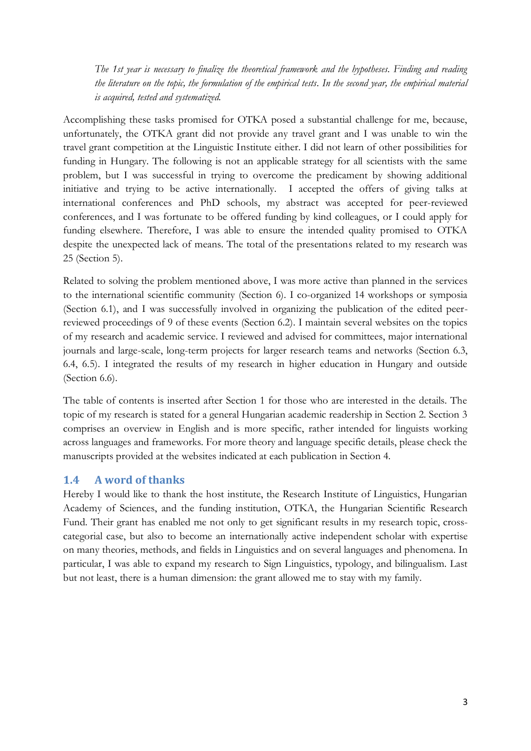*The 1st year is necessary to finalize the theoretical framework and the hypotheses. Finding and reading the literature on the topic, the formulation of the empirical tests. In the second year, the empirical material is acquired, tested and systematized.*

Accomplishing these tasks promised for OTKA posed a substantial challenge for me, because, unfortunately, the OTKA grant did not provide any travel grant and I was unable to win the travel grant competition at the Linguistic Institute either. I did not learn of other possibilities for funding in Hungary. The following is not an applicable strategy for all scientists with the same problem, but I was successful in trying to overcome the predicament by showing additional initiative and trying to be active internationally. I accepted the offers of giving talks at international conferences and PhD schools, my abstract was accepted for peer-reviewed conferences, and I was fortunate to be offered funding by kind colleagues, or I could apply for funding elsewhere. Therefore, I was able to ensure the intended quality promised to OTKA despite the unexpected lack of means. The total of the presentations related to my research was 25 (Section 5).

Related to solving the problem mentioned above, I was more active than planned in the services to the international scientific community (Section 6). I co-organized 14 workshops or symposia (Section 6.1), and I was successfully involved in organizing the publication of the edited peerreviewed proceedings of 9 of these events (Section 6.2). I maintain several websites on the topics of my research and academic service. I reviewed and advised for committees, major international journals and large-scale, long-term projects for larger research teams and networks (Section 6.3, 6.4, 6.5). I integrated the results of my research in higher education in Hungary and outside (Section 6.6).

The table of contents is inserted after Section 1 for those who are interested in the details. The topic of my research is stated for a general Hungarian academic readership in Section 2. Section 3 comprises an overview in English and is more specific, rather intended for linguists working across languages and frameworks. For more theory and language specific details, please check the manuscripts provided at the websites indicated at each publication in Section 4.

# <span id="page-2-0"></span>**1.4 A word of thanks**

Hereby I would like to thank the host institute, the Research Institute of Linguistics, Hungarian Academy of Sciences, and the funding institution, OTKA, the Hungarian Scientific Research Fund. Their grant has enabled me not only to get significant results in my research topic, crosscategorial case, but also to become an internationally active independent scholar with expertise on many theories, methods, and fields in Linguistics and on several languages and phenomena. In particular, I was able to expand my research to Sign Linguistics, typology, and bilingualism. Last but not least, there is a human dimension: the grant allowed me to stay with my family.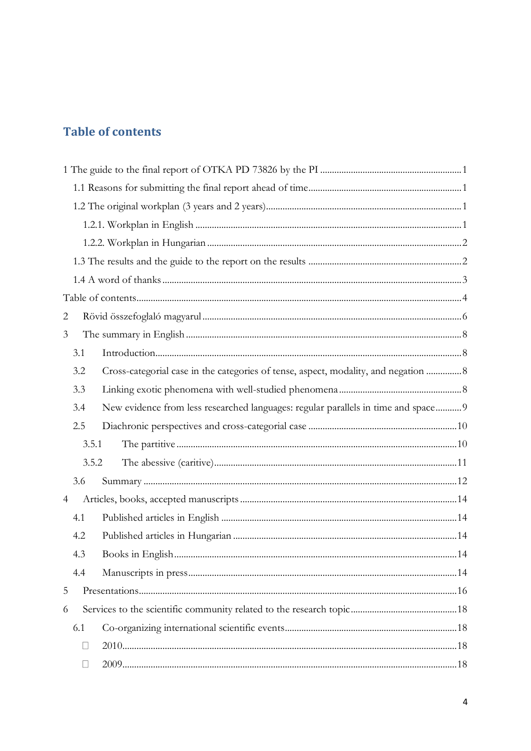# <span id="page-3-0"></span>**Table of contents**

| $\overline{2}$ |        |                                                                                     |  |
|----------------|--------|-------------------------------------------------------------------------------------|--|
| 3              |        |                                                                                     |  |
|                | 3.1    |                                                                                     |  |
|                | 3.2    | Cross-categorial case in the categories of tense, aspect, modality, and negation  8 |  |
|                | 3.3    |                                                                                     |  |
|                | 3.4    | New evidence from less researched languages: regular parallels in time and space 9  |  |
|                | 2.5    |                                                                                     |  |
|                | 3.5.1  |                                                                                     |  |
|                | 3.5.2  |                                                                                     |  |
|                | 3.6    |                                                                                     |  |
| $\overline{4}$ |        |                                                                                     |  |
|                | 4.1    |                                                                                     |  |
|                | 4.2    |                                                                                     |  |
|                | 4.3    |                                                                                     |  |
|                | 4.4    |                                                                                     |  |
| 5              |        |                                                                                     |  |
| 6              |        |                                                                                     |  |
|                | 6.1    |                                                                                     |  |
|                | $\Box$ |                                                                                     |  |
|                |        |                                                                                     |  |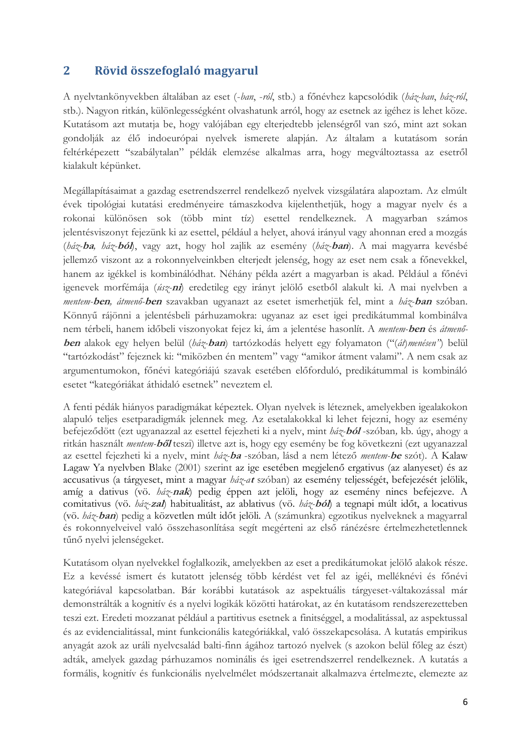# <span id="page-5-0"></span>**2 Rövid összefoglaló magyarul**

A nyelvtankönyvekben általában az eset (-*ban*, -*ról*, stb.) a főnévhez kapcsolódik (*ház-ban*, *ház-ról*, stb.). Nagyon ritkán, különlegességként olvashatunk arról, hogy az esetnek az igéhez is lehet köze. Kutatásom azt mutatja be, hogy valójában egy elterjedtebb jelenségről van szó, mint azt sokan gondolják az élő indoeurópai nyelvek ismerete alapján. Az általam a kutatásom során feltérképezett "szabálytalan" példák elemzése alkalmas arra, hogy megváltoztassa az esetről kialakult képünket.

Megállapításaimat a gazdag esetrendszerrel rendelkező nyelvek vizsgálatára alapoztam. Az elmúlt évek tipológiai kutatási eredményeire támaszkodva kijelenthetjük, hogy a magyar nyelv és a rokonai különösen sok (több mint tíz) esettel rendelkeznek. A magyarban számos jelentésviszonyt fejezünk ki az esettel, például a helyet, ahová irányul vagy ahonnan ered a mozgás (*ház-***ba***, ház-***ból**), vagy azt, hogy hol zajlik az esemény (*ház-***ban**). A mai magyarra kevésbé jellemző viszont az a rokonnyelveinkben elterjedt jelenség, hogy az eset nem csak a főnevekkel, hanem az igékkel is kombinálódhat. Néhány példa azért a magyarban is akad. Például a főnévi igenevek morfémája (*úsz-***ni**) eredetileg egy irányt jelölő esetből alakult ki. A mai nyelvben a *mentem-***ben***, átmenő-***ben** szavakban ugyanazt az esetet ismerhetjük fel, mint a *ház-***ban** szóban. Könnyű rájönni a jelentésbeli párhuzamokra: ugyanaz az eset igei predikátummal kombinálva nem térbeli, hanem időbeli viszonyokat fejez ki, ám a jelentése hasonlít. A *mentem-***ben** és *átmenő*ben alakok egy helyen belül (*ház*-ban) tartózkodás helyett egy folyamaton ("(át)menésen") belül "tartózkodást" fejeznek ki: "miközben én mentem" vagy "amikor átment valami". A nem csak az argumentumokon, főnévi kategóriájú szavak esetében előforduló, predikátummal is kombináló esetet "kategóriákat áthidaló esetnek" neveztem el.

A fenti pédák hiányos paradigmákat képeztek. Olyan nyelvek is léteznek, amelyekben igealakokon alapuló teljes esetparadigmák jelennek meg. Az esetalakokkal ki lehet fejezni, hogy az esemény befejeződött (ezt ugyanazzal az esettel fejezheti ki a nyelv, mint *ház-***ból** -szóban*,* kb. úgy, ahogy a ritkán használt *mentem-***ből** teszi) illetve azt is, hogy egy esemény be fog következni (ezt ugyanazzal az esettel fejezheti ki a nyelv, mint *ház-***ba** -szóban*,* lásd a nem létező *mentem-***be** szót)*.* A Kalaw Lagaw Ya nyelvben Blake (2001) szerint az ige esetében megjelenő ergativus (az alanyeset) és az accusativus (a tárgyeset, mint a magyar *ház-a***<sup>t</sup>** szóban) az esemény teljességét, befejezését jelölik, amíg a dativus (vö. *ház-***nak**) pedig éppen azt jelöli, hogy az esemény nincs befejezve. A comitativus (vö. *ház-***zal**) habitualitást, az ablativus (vö. *ház-***ból**) a tegnapi múlt időt, a locativus (vö. *ház-***ban**) pedig a közvetlen múlt időt jelöli. A (számunkra) egzotikus nyelveknek a magyarral és rokonnyelveivel való összehasonlítása segít megérteni az első ránézésre értelmezhetetlennek tűnő nyelvi jelenségeket.

Kutatásom olyan nyelvekkel foglalkozik, amelyekben az eset a predikátumokat jelölő alakok része. Ez a kevéssé ismert és kutatott jelenség több kérdést vet fel az igéi, melléknévi és főnévi kategóriával kapcsolatban. Bár korábbi kutatások az aspektuális tárgyeset-váltakozással már demonstrálták a kognitív és a nyelvi logikák közötti határokat, az én kutatásom rendszerezetteben teszi ezt. Eredeti mozzanat például a partitivus esetnek a finitséggel, a modalitással, az aspektussal és az evidencialitással, mint funkcionális kategóriákkal, való összekapcsolása. A kutatás empirikus anyagát azok az uráli nyelvcsalád balti-finn ágához tartozó nyelvek (s azokon belül főleg az észt) adták, amelyek gazdag párhuzamos nominális és igei esetrendszerrel rendelkeznek. A kutatás a formális, kognitív és funkcionális nyelvelmélet módszertanait alkalmazva értelmezte, elemezte az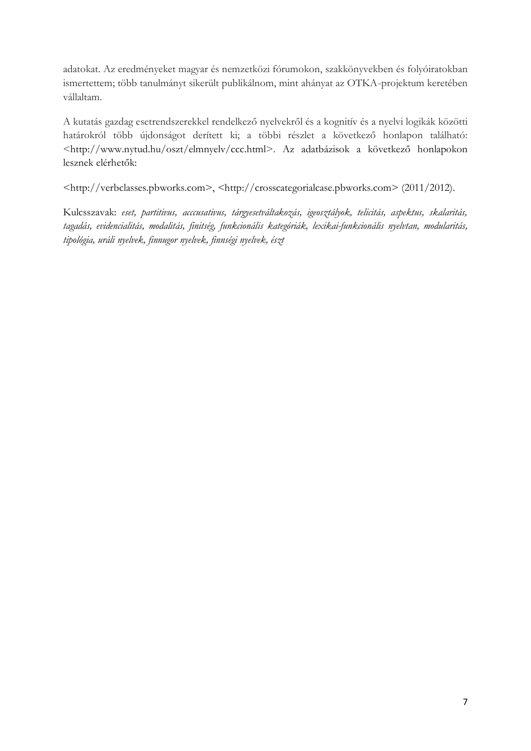adatokat. Az eredményeket magyar és nemzetközi fórumokon, szakkönyvekben és folyóiratokban ismertettem; több tanulmányt sikerült publikálnom, mint ahányat az OTKA-projektum keretében vállaltam.

A kutatás gazdag esetrendszerekkel rendelkező nyelvekről és a kognitív és a nyelvi logikák közötti határokról több újdonságot derített ki; a többi részlet a következő honlapon található: <http://www.nytud.hu/oszt/elmnyelv/ccc.html>. Az adatbázisok a következő honlapokon lesznek elérhetők:

<http://verbclasses.pbworks.com>, <http://crosscategorialcase.pbworks.com> (2011/2012).

Kulcsszavak: *eset, partitivus, acccusativus, tárgyesetváltakozás, igeosztályok, telicitás, aspektus, skalaritás, tagadás, evidencialitás, modalitás, finitség, funkcionális kategóriák, lexikai-funkcionális nyelvtan, modularitás, tipológia, uráli nyelvek, finnugor nyelvek, finnségi nyelvek, észt*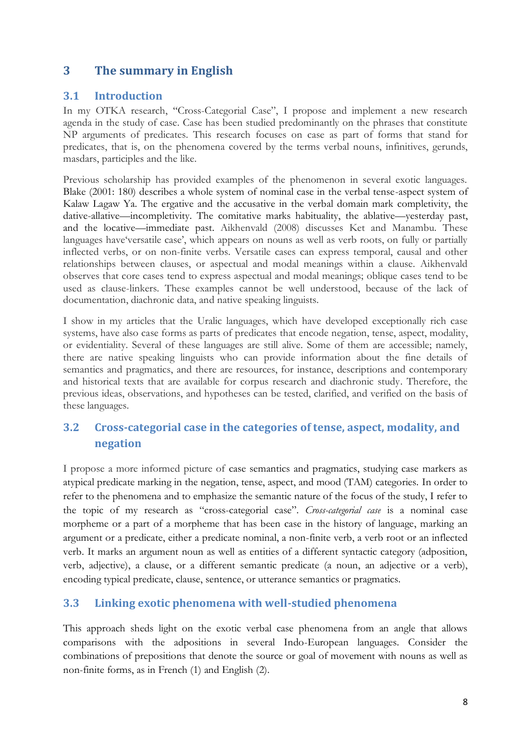# <span id="page-7-0"></span>**3 The summary in English**

# <span id="page-7-1"></span>**3.1 Introduction**

In my OTKA research, "Cross-Categorial Case", I propose and implement a new research agenda in the study of case. Case has been studied predominantly on the phrases that constitute NP arguments of predicates. This research focuses on case as part of forms that stand for predicates, that is, on the phenomena covered by the terms verbal nouns, infinitives, gerunds, masdars, participles and the like.

Previous scholarship has provided examples of the phenomenon in several exotic languages. Blake (2001: 180) describes a whole system of nominal case in the verbal tense-aspect system of Kalaw Lagaw Ya. The ergative and the accusative in the verbal domain mark completivity, the dative-allative—incompletivity. The comitative marks habituality, the ablative—yesterday past, and the locative—immediate past. Aikhenvald (2008) discusses Ket and Manambu. These languages have versatile case', which appears on nouns as well as verb roots, on fully or partially inflected verbs, or on non-finite verbs. Versatile cases can express temporal, causal and other relationships between clauses, or aspectual and modal meanings within a clause. Aikhenvald observes that core cases tend to express aspectual and modal meanings; oblique cases tend to be used as clause-linkers. These examples cannot be well understood, because of the lack of documentation, diachronic data, and native speaking linguists.

I show in my articles that the Uralic languages, which have developed exceptionally rich case systems, have also case forms as parts of predicates that encode negation, tense, aspect, modality, or evidentiality. Several of these languages are still alive. Some of them are accessible; namely, there are native speaking linguists who can provide information about the fine details of semantics and pragmatics, and there are resources, for instance, descriptions and contemporary and historical texts that are available for corpus research and diachronic study. Therefore, the previous ideas, observations, and hypotheses can be tested, clarified, and verified on the basis of these languages.

# <span id="page-7-2"></span>**3.2 Cross-categorial case in the categories of tense, aspect, modality, and negation**

I propose a more informed picture of case semantics and pragmatics, studying case markers as atypical predicate marking in the negation, tense, aspect, and mood (TAM) categories. In order to refer to the phenomena and to emphasize the semantic nature of the focus of the study, I refer to the topic of my research as "cross-categorial case". *Cross-categorial case* is a nominal case morpheme or a part of a morpheme that has been case in the history of language, marking an argument or a predicate, either a predicate nominal, a non-finite verb, a verb root or an inflected verb. It marks an argument noun as well as entities of a different syntactic category (adposition, verb, adjective), a clause, or a different semantic predicate (a noun, an adjective or a verb), encoding typical predicate, clause, sentence, or utterance semantics or pragmatics.

# <span id="page-7-3"></span>**3.3 Linking exotic phenomena with well-studied phenomena**

This approach sheds light on the exotic verbal case phenomena from an angle that allows comparisons with the adpositions in several Indo-European languages. Consider the combinations of prepositions that denote the source or goal of movement with nouns as well as non-finite forms, as in French (1) and English (2).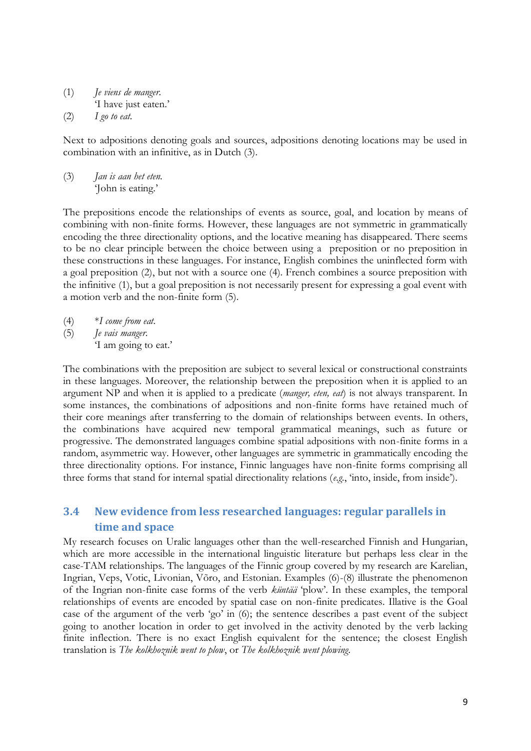- (1) *Je viens de manger.*
- ‗I have just eaten.'

(2) *I go to eat.*

Next to adpositions denoting goals and sources, adpositions denoting locations may be used in combination with an infinitive, as in Dutch (3).

(3) *Jan is aan het eten.* ‗John is eating.'

The prepositions encode the relationships of events as source, goal, and location by means of combining with non-finite forms. However, these languages are not symmetric in grammatically encoding the three directionality options, and the locative meaning has disappeared. There seems to be no clear principle between the choice between using a preposition or no preposition in these constructions in these languages. For instance, English combines the uninflected form with a goal preposition (2), but not with a source one (4). French combines a source preposition with the infinitive (1), but a goal preposition is not necessarily present for expressing a goal event with a motion verb and the non-finite form (5).

- (4) \**I come from eat.*
- (5) *Je vais manger.*

‗I am going to eat.'

The combinations with the preposition are subject to several lexical or constructional constraints in these languages. Moreover, the relationship between the preposition when it is applied to an argument NP and when it is applied to a predicate (*manger, eten, eat*) is not always transparent. In some instances, the combinations of adpositions and non-finite forms have retained much of their core meanings after transferring to the domain of relationships between events. In others, the combinations have acquired new temporal grammatical meanings, such as future or progressive. The demonstrated languages combine spatial adpositions with non-finite forms in a random, asymmetric way. However, other languages are symmetric in grammatically encoding the three directionality options. For instance, Finnic languages have non-finite forms comprising all three forms that stand for internal spatial directionality relations (*e.g.*, 'into, inside, from inside').

# <span id="page-8-0"></span>**3.4 New evidence from less researched languages: regular parallels in time and space**

My research focuses on Uralic languages other than the well-researched Finnish and Hungarian, which are more accessible in the international linguistic literature but perhaps less clear in the case-TAM relationships. The languages of the Finnic group covered by my research are Karelian, Ingrian, Veps, Votic, Livonian, Võro, and Estonian. Examples (6)-(8) illustrate the phenomenon of the Ingrian non-finite case forms of the verb *küntää* 'plow'. In these examples, the temporal relationships of events are encoded by spatial case on non-finite predicates. Illative is the Goal case of the argument of the verb 'go' in  $(6)$ ; the sentence describes a past event of the subject going to another location in order to get involved in the activity denoted by the verb lacking finite inflection. There is no exact English equivalent for the sentence; the closest English translation is *The kolkhoznik went to plow*, or *The kolkhoznik went plowing*.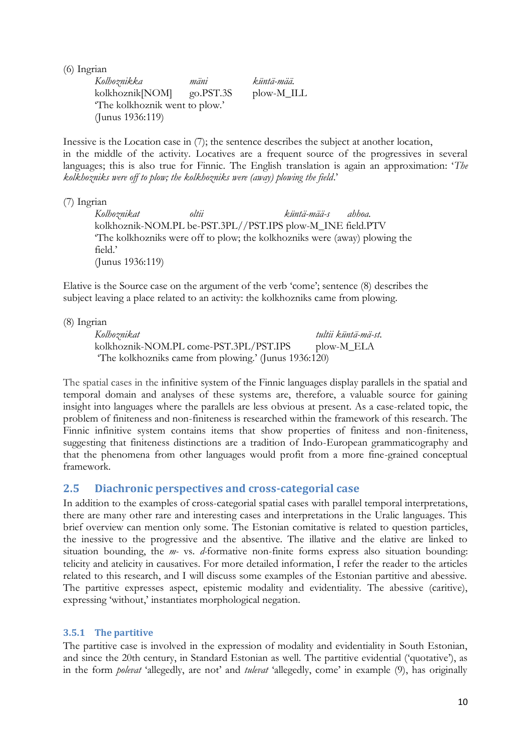(6) Ingrian

*Kolhoznikka mäni küntä-mää.* kolkhoznik[NOM] go.PST.3S plow-M\_ILL ‗The kolkhoznik went to plow.' (Junus 1936:119)

Inessive is the Location case in (7); the sentence describes the subject at another location, in the middle of the activity. Locatives are a frequent source of the progressives in several languages; this is also true for Finnic. The English translation is again an approximation: *The kolkhozniks were off to plow; the kolkhozniks were (away) plowing the field*.'

(7) Ingrian

*Kolhoznikat oltii küntä-mää-s ahhoa.* kolkhoznik-NOM.PL be-PST.3PL//PST.IPS plow-M\_INE field.PTV ‗The kolkhozniks were off to plow; the kolkhozniks were (away) plowing the field.' (Junus 1936:119)

Elative is the Source case on the argument of the verb 'come'; sentence (8) describes the subject leaving a place related to an activity: the kolkhozniks came from plowing.

(8) Ingrian

*Kolhoznikat tultii küntä-mä-st.* kolkhoznik-NOM.PL come-PST.3PL/PST.IPS plow-M\_ELA ‗The kolkhozniks came from plowing.' (Junus 1936:120)

The spatial cases in the infinitive system of the Finnic languages display parallels in the spatial and temporal domain and analyses of these systems are, therefore, a valuable source for gaining insight into languages where the parallels are less obvious at present. As a case-related topic, the problem of finiteness and non-finiteness is researched within the framework of this research. The Finnic infinitive system contains items that show properties of finitess and non-finiteness, suggesting that finiteness distinctions are a tradition of Indo-European grammaticography and that the phenomena from other languages would profit from a more fine-grained conceptual framework.

# <span id="page-9-0"></span>**2.5 Diachronic perspectives and cross-categorial case**

In addition to the examples of cross-categorial spatial cases with parallel temporal interpretations, there are many other rare and interesting cases and interpretations in the Uralic languages. This brief overview can mention only some. The Estonian comitative is related to question particles, the inessive to the progressive and the absentive. The illative and the elative are linked to situation bounding, the *m-* vs. *d-*formative non-finite forms express also situation bounding: telicity and atelicity in causatives. For more detailed information, I refer the reader to the articles related to this research, and I will discuss some examples of the Estonian partitive and abessive. The partitive expresses aspect, epistemic modality and evidentiality. The abessive (caritive), expressing ‗without,' instantiates morphological negation.

## <span id="page-9-1"></span>**3.5.1 The partitive**

The partitive case is involved in the expression of modality and evidentiality in South Estonian, and since the 20th century, in Standard Estonian as well. The partitive evidential ('quotative'), as in the form *polevat* 'allegedly, are not' and *tulevat* 'allegedly, come' in example (9), has originally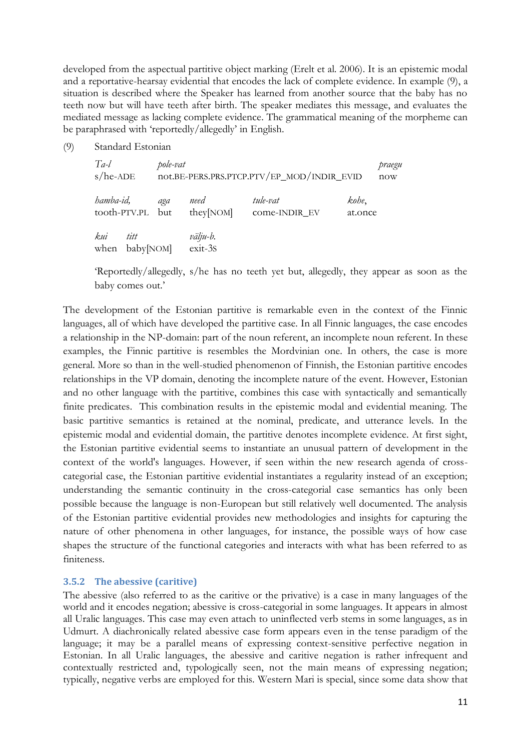developed from the aspectual partitive object marking (Erelt et al. 2006). It is an epistemic modal and a reportative-hearsay evidential that encodes the lack of complete evidence. In example (9), a situation is described where the Speaker has learned from another source that the baby has no teeth now but will have teeth after birth. The speaker mediates this message, and evaluates the mediated message as lacking complete evidence. The grammatical meaning of the morpheme can be paraphrased with 'reportedly/allegedly' in English.

(9) Standard Estonian

| $Ta-l$<br>$s/he$ -ADE |                   | pole-vat |                                 | not.BE-PERS.PRS.PTCP.PTV/EP_MOD/INDIR_EVID | praegu<br>now    |
|-----------------------|-------------------|----------|---------------------------------|--------------------------------------------|------------------|
| hamba-id,             | tooth-PTV.PL but  | aga      | need<br>they[NOM]               | tule-vat<br>come-INDIR EV                  | kohe,<br>at.once |
| kui<br>when           | titt<br>baby[NOM] |          | välju-b.<br>exit-3 <sub>S</sub> |                                            |                  |

‗Reportedly/allegedly, s/he has no teeth yet but, allegedly, they appear as soon as the baby comes out.'

The development of the Estonian partitive is remarkable even in the context of the Finnic languages, all of which have developed the partitive case. In all Finnic languages, the case encodes a relationship in the NP-domain: part of the noun referent, an incomplete noun referent. In these examples, the Finnic partitive is resembles the Mordvinian one. In others, the case is more general. More so than in the well-studied phenomenon of Finnish, the Estonian partitive encodes relationships in the VP domain, denoting the incomplete nature of the event. However, Estonian and no other language with the partitive, combines this case with syntactically and semantically finite predicates. This combination results in the epistemic modal and evidential meaning. The basic partitive semantics is retained at the nominal, predicate, and utterance levels. In the epistemic modal and evidential domain, the partitive denotes incomplete evidence. At first sight, the Estonian partitive evidential seems to instantiate an unusual pattern of development in the context of the world's languages. However, if seen within the new research agenda of crosscategorial case, the Estonian partitive evidential instantiates a regularity instead of an exception; understanding the semantic continuity in the cross-categorial case semantics has only been possible because the language is non-European but still relatively well documented. The analysis of the Estonian partitive evidential provides new methodologies and insights for capturing the nature of other phenomena in other languages, for instance, the possible ways of how case shapes the structure of the functional categories and interacts with what has been referred to as finiteness.

#### <span id="page-10-0"></span>**3.5.2 The abessive (caritive)**

The abessive (also referred to as the caritive or the privative) is a case in many languages of the world and it encodes negation; abessive is cross-categorial in some languages. It appears in almost all Uralic languages. This case may even attach to uninflected verb stems in some languages, as in Udmurt. A diachronically related abessive case form appears even in the tense paradigm of the language; it may be a parallel means of expressing context-sensitive perfective negation in Estonian. In all Uralic languages, the abessive and caritive negation is rather infrequent and contextually restricted and, typologically seen, not the main means of expressing negation; typically, negative verbs are employed for this. Western Mari is special, since some data show that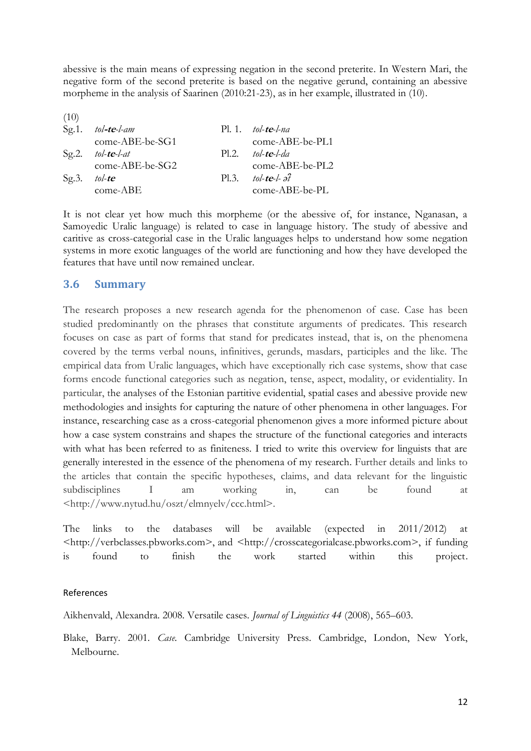abessive is the main means of expressing negation in the second preterite. In Western Mari, the negative form of the second preterite is based on the negative gerund, containing an abessive morpheme in the analysis of Saarinen (2010:21-23), as in her example, illustrated in (10).

| (10)         |                      |      |                                 |
|--------------|----------------------|------|---------------------------------|
|              | Sg.1. $tol$ -te-l-am |      | $Pl. 1.$ tol-te-l-na            |
|              | come-ABE-be-SG1      |      | come-ABE-be-PL1                 |
|              | Sg.2. tol-te-l-at    |      | $Pl.2$ to l-te-l-da             |
|              | come-ABE-be-SG2      |      | come-ABE-be-PL2                 |
| Sg.3. tol-te |                      | P1.3 | tol- <b>te</b> -l- $\partial_t$ |
|              | $come-ABE$           |      | come-ABE-be-PL                  |

It is not clear yet how much this morpheme (or the abessive of, for instance, Nganasan, a Samoyedic Uralic language) is related to case in language history. The study of abessive and caritive as cross-categorial case in the Uralic languages helps to understand how some negation systems in more exotic languages of the world are functioning and how they have developed the features that have until now remained unclear.

#### <span id="page-11-0"></span>**3.6 Summary**

The research proposes a new research agenda for the phenomenon of case. Case has been studied predominantly on the phrases that constitute arguments of predicates. This research focuses on case as part of forms that stand for predicates instead, that is, on the phenomena covered by the terms verbal nouns, infinitives, gerunds, masdars, participles and the like. The empirical data from Uralic languages, which have exceptionally rich case systems, show that case forms encode functional categories such as negation, tense, aspect, modality, or evidentiality. In particular, the analyses of the Estonian partitive evidential, spatial cases and abessive provide new methodologies and insights for capturing the nature of other phenomena in other languages. For instance, researching case as a cross-categorial phenomenon gives a more informed picture about how a case system constrains and shapes the structure of the functional categories and interacts with what has been referred to as finiteness. I tried to write this overview for linguists that are generally interested in the essence of the phenomena of my research. Further details and links to the articles that contain the specific hypotheses, claims, and data relevant for the linguistic subdisciplines I am working in, can be found at <http://www.nytud.hu/oszt/elmnyelv/ccc.html>.

The links to the databases will be available (expected in 2011/2012) at <http://verbclasses.pbworks.com>, and <http://crosscategorialcase.pbworks.com>, if funding is found to finish the work started within this project.

#### References

Aikhenvald, Alexandra. 2008. Versatile cases. *Journal of Linguistics 44* (2008), 565–603.

Blake, Barry. 2001. *Case.* Cambridge University Press. Cambridge, London, New York, Melbourne.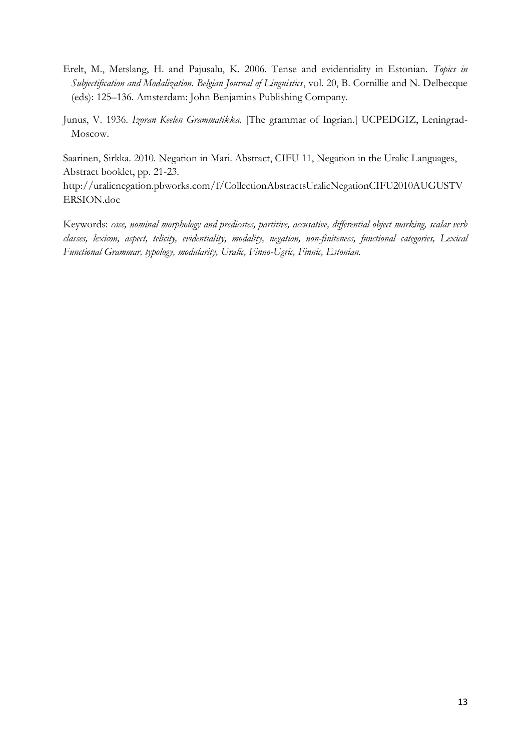- Erelt, M., Metslang, H. and Pajusalu, K. 2006. Tense and evidentiality in Estonian. *Topics in Subjectification and Modalization. Belgian Journal of Linguistics*, vol. 20, B. Cornillie and N. Delbecque (eds): 125–136. Amsterdam: John Benjamins Publishing Company.
- Junus, V. 1936. *Izoran Keelen Grammatikka.* [The grammar of Ingrian.] UCPEDGIZ, Leningrad-Moscow.

Saarinen, Sirkka. 2010. Negation in Mari. Abstract, CIFU 11, Negation in the Uralic Languages, Abstract booklet, pp. 21-23.

http://uralicnegation.pbworks.com/f/CollectionAbstractsUralicNegationCIFU2010AUGUSTV ERSION.doc

Keywords: *case, nominal morphology and predicates, partitive, accusative, differential object marking, scalar verb classes, lexicon, aspect, telicity, evidentiality, modality, negation, non-finiteness, functional categories, Lexical Functional Grammar, typology, modularity, Uralic, Finno-Ugric, Finnic, Estonian.*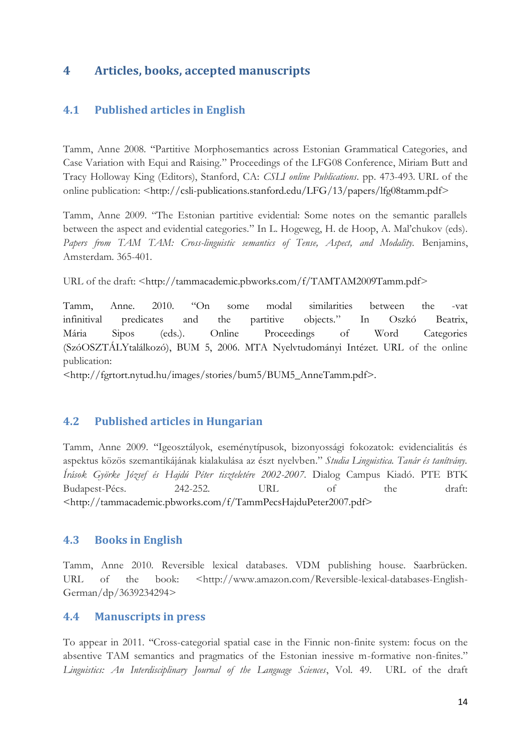# <span id="page-13-0"></span>**4 Articles, books, accepted manuscripts**

## <span id="page-13-1"></span>**4.1 Published articles in English**

Tamm, Anne 2008. "Partitive Morphosemantics across Estonian Grammatical Categories, and Case Variation with Equi and Raising.‖ Proceedings of the LFG08 Conference, Miriam Butt and Tracy Holloway King (Editors), Stanford, CA: *CSLI online Publications*. pp. 473-493. URL of the online publication:  $\langle$ http://csli-publications.stanford.edu/LFG/13/papers/lfg08tamm.pdf>

Tamm, Anne 2009. "The Estonian partitive evidential: Some notes on the semantic parallels between the aspect and evidential categories." In L. Hogeweg, H. de Hoop, A. Mal'chukov (eds). *Papers from TAM TAM: Cross-linguistic semantics of Tense, Aspect, and Modality.* Benjamins, Amsterdam. 365-401.

URL of the draft: <http://tammacademic.pbworks.com/f/TAMTAM2009Tamm.pdf>

Tamm, Anne. 2010. "On some modal similarities between the -vat infinitival predicates and the partitive objects.‖ In Oszkó Beatrix, Mária Sipos (eds.). Online Proceedings of Word Categories (SzóOSZTÁLYtalálkozó), BUM 5, 2006. MTA Nyelvtudományi Intézet. URL of the online publication:

<http://fgrtort.nytud.hu/images/stories/bum5/BUM5\_AnneTamm.pdf>.

## <span id="page-13-2"></span>**4.2 Published articles in Hungarian**

Tamm, Anne 2009. "Igeosztályok, eseménytípusok, bizonyossági fokozatok: evidencialitás és aspektus közös szemantikájának kialakulása az észt nyelvben." Studia Linguistica. Tanár és tanítvány. *Írások Györke József és Hajdú Péter tiszteletére 2002-2007*. Dialog Campus Kiadó. PTE BTK Budapest-Pécs. 242-252. URL of the draft: <http://tammacademic.pbworks.com/f/TammPecsHajduPeter2007.pdf>

## <span id="page-13-3"></span>**4.3 Books in English**

Tamm, Anne 2010. Reversible lexical databases. VDM publishing house. Saarbrücken. URL of the book: <http://www.amazon.com/Reversible-lexical-databases-English-German/dp/3639234294>

## <span id="page-13-4"></span>**4.4 Manuscripts in press**

To appear in 2011. "Cross-categorial spatial case in the Finnic non-finite system: focus on the absentive TAM semantics and pragmatics of the Estonian inessive m-formative non-finites." *Linguistics: An Interdisciplinary Journal of the Language Sciences*, Vol. 49. URL of the draft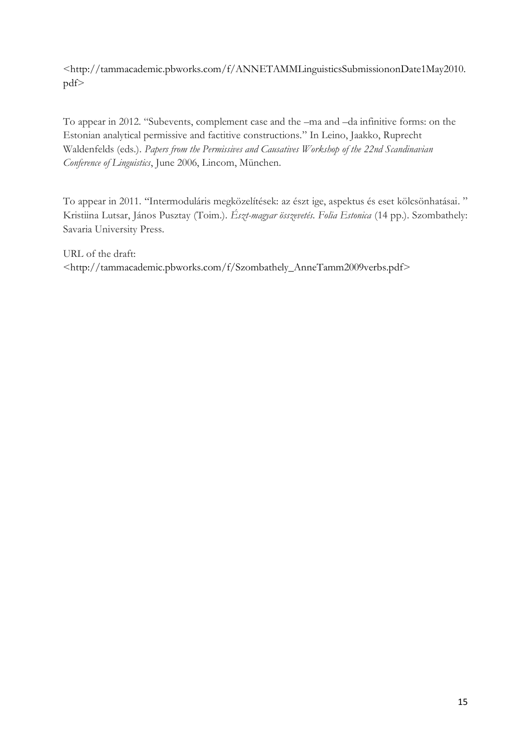<http://tammacademic.pbworks.com/f/ANNETAMMLinguisticsSubmissiononDate1May2010. pdf>

To appear in 2012. "Subevents, complement case and the –ma and –da infinitive forms: on the Estonian analytical permissive and factitive constructions." In Leino, Jaakko, Ruprecht Waldenfelds (eds.). *Papers from the Permissives and Causatives Workshop of the 22nd Scandinavian Conference of Linguistics*, June 2006, Lincom, München.

To appear in 2011. "Intermoduláris megközelítések: az észt ige, aspektus és eset kölcsönhatásai." Kristiina Lutsar, János Pusztay (Toim.). *Észt-magyar összevetés. Folia Estonica* (14 pp.). Szombathely: Savaria University Press.

URL of the draft: <http://tammacademic.pbworks.com/f/Szombathely\_AnneTamm2009verbs.pdf>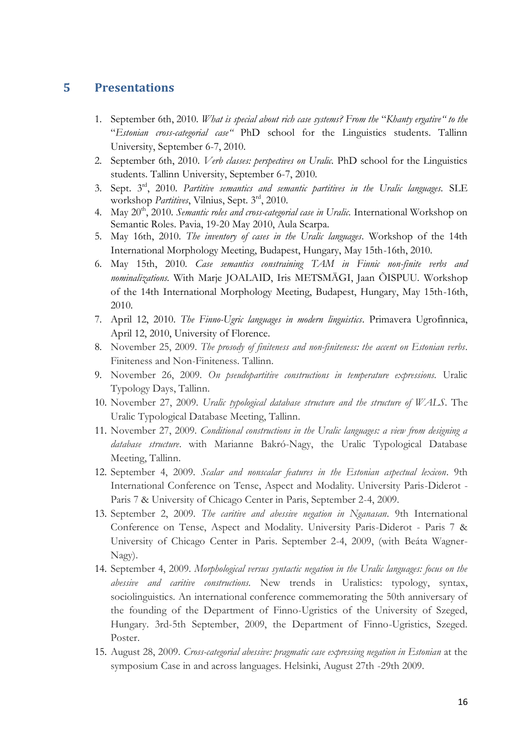# <span id="page-15-0"></span>**5 Presentations**

- 1. September 6th, 2010. *What is special about rich case systems? From the "Khanty ergative" to the* ―*Estonian cross-categorial case"* PhD school for the Linguistics students. Tallinn University, September 6-7, 2010.
- 2. September 6th, 2010. *Verb classes: perspectives on Uralic.* PhD school for the Linguistics students. Tallinn University, September 6-7, 2010.
- 3. Sept. 3rd, 2010. *Partitive semantics and semantic partitives in the Uralic languages.* SLE workshop *Partitives*, Vilnius, Sept. 3rd, 2010.
- 4. May 20th, 2010. *Semantic roles and cross-categorial case in Uralic.* International Workshop on Semantic Roles. Pavia, 19-20 May 2010, Aula Scarpa.
- 5. May 16th, 2010. *The inventory of cases in the Uralic languages.* Workshop of the 14th International Morphology Meeting, Budapest, Hungary, May 15th-16th, 2010.
- 6. May 15th, 2010. *Case semantics constraining TAM in Finnic non-finite verbs and nominalizations.* With Marje JOALAID, Iris METSMÄGI, Jaan ÕISPUU. Workshop of the 14th International Morphology Meeting, Budapest, Hungary, May 15th-16th, 2010.
- 7. April 12, 2010. *The Finno-Ugric languages in modern linguistics*. Primavera Ugrofinnica, April 12, 2010, University of Florence.
- 8. November 25, 2009. *The prosody of finiteness and non-finiteness: the accent on Estonian verbs*. Finiteness and Non-Finiteness. Tallinn.
- 9. November 26, 2009. *On pseudopartitive constructions in temperature expressions.* Uralic Typology Days, Tallinn.
- 10. November 27, 2009. *Uralic typological database structure and the structure of WALS*. The Uralic Typological Database Meeting, Tallinn.
- 11. November 27, 2009. *Conditional constructions in the Uralic languages: a view from designing a database structure*. with Marianne Bakró-Nagy, the Uralic Typological Database Meeting, Tallinn.
- 12. September 4, 2009. *Scalar and nonscalar features in the Estonian aspectual lexicon*. 9th International Conference on Tense, Aspect and Modality. University Paris-Diderot - Paris 7 & University of Chicago Center in Paris, September 2-4, 2009.
- 13. September 2, 2009. *The caritive and abessive negation in Nganasan*. 9th International Conference on Tense, Aspect and Modality. University Paris-Diderot - Paris 7 & University of Chicago Center in Paris. September 2-4, 2009, (with Beáta Wagner-Nagy).
- 14. September 4, 2009. *Morphological versus syntactic negation in the Uralic languages: focus on the abessive and caritive constructions.* New trends in Uralistics: typology, syntax, sociolinguistics. An international conference commemorating the 50th anniversary of the founding of the Department of Finno-Ugristics of the University of Szeged, Hungary. 3rd-5th September, 2009, the Department of Finno-Ugristics, Szeged. Poster.
- 15. August 28, 2009. *Cross-categorial abessive: pragmatic case expressing negation in Estonian* at the symposium Case in and across languages. Helsinki, August 27th -29th 2009.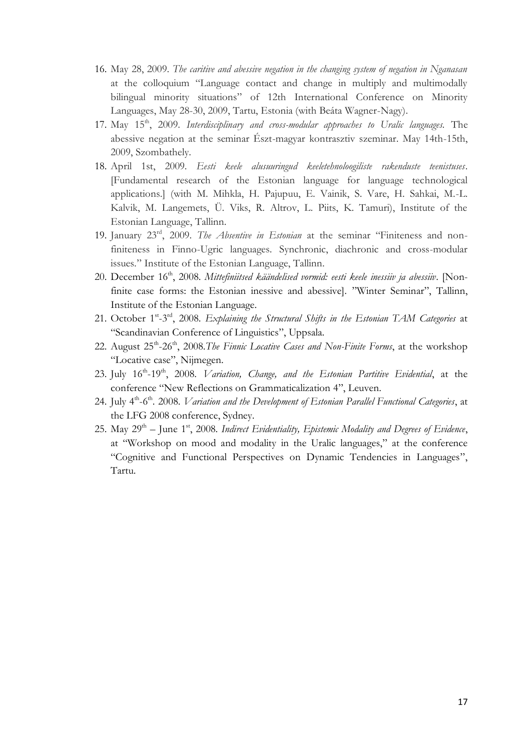- 16. May 28, 2009. *The caritive and abessive negation in the changing system of negation in Nganasan* at the colloquium "Language contact and change in multiply and multimodally bilingual minority situations" of 12th International Conference on Minority Languages, May 28-30, 2009, Tartu, Estonia (with Beáta Wagner-Nagy).
- 17. May 15th, 2009. *Interdisciplinary and cross-modular approaches to Uralic languages.* The abessive negation at the seminar Észt-magyar kontrasztiv szeminar. May 14th-15th, 2009, Szombathely.
- 18. April 1st, 2009. *Eesti keele alusuuringud keeletehnoloogiliste rakenduste teenistuses*. [Fundamental research of the Estonian language for language technological applications.] (with M. Mihkla, H. Pajupuu, E. Vainik, S. Vare, H. Sahkai, M.-L. Kalvik, M. Langemets, Ü. Viks, R. Altrov, L. Piits, K. Tamuri), Institute of the Estonian Language, Tallinn.
- 19. January 23<sup>rd</sup>, 2009. *The Absentive in Estonian* at the seminar "Finiteness and nonfiniteness in Finno-Ugric languages. Synchronic, diachronic and cross-modular issues." Institute of the Estonian Language, Tallinn.
- 20. December 16th, 2008. *Mittefiniitsed käändelised vormid: eesti keele inessiiv ja abessiiv*. [Nonfinite case forms: the Estonian inessive and abessive]. "Winter Seminar", Tallinn, Institute of the Estonian Language.
- 21. October 1<sup>st</sup>-3<sup>rd</sup>, 2008. *Explaining the Structural Shifts in the Estonian TAM Categories* at "Scandinavian Conference of Linguistics", Uppsala.
- 22. August 25<sup>th</sup>-26<sup>th</sup>, 2008.*The Finnic Locative Cases and Non-Finite Forms*, at the workshop "Locative case", Nijmegen.
- 23. July 16<sup>th</sup>-19<sup>th</sup>, 2008. *Variation, Change, and the Estonian Partitive Evidential*, at the conference "New Reflections on Grammaticalization 4", Leuven.
- 24. July 4<sup>th</sup>-6<sup>th</sup>. 2008. *Variation and the Development of Estonian Parallel Functional Categories*, at the LFG 2008 conference, Sydney.
- 25. May 29<sup>th</sup> June 1<sup>st</sup>, 2008. *Indirect Evidentiality, Epistemic Modality and Degrees of Evidence*, at "Workshop on mood and modality in the Uralic languages," at the conference "Cognitive and Functional Perspectives on Dynamic Tendencies in Languages", Tartu.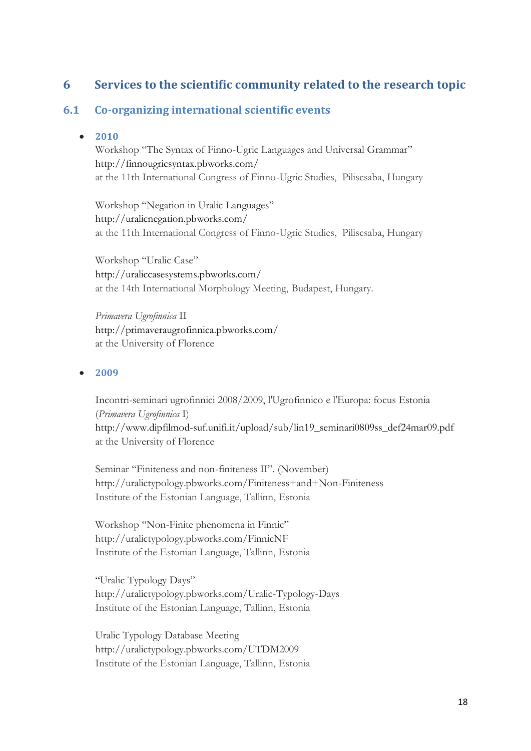# <span id="page-17-0"></span>**6 Services to the scientific community related to the research topic**

## <span id="page-17-2"></span><span id="page-17-1"></span>**6.1 Co-organizing international scientific events**

#### **2010**

Workshop "The Syntax of Finno-Ugric Languages and Universal Grammar" http://finnougricsyntax.pbworks.com/ at the 11th International Congress of Finno-Ugric Studies, Piliscsaba, Hungary

Workshop "Negation in Uralic Languages" http://uralicnegation.pbworks.com/ at the 11th International Congress of Finno-Ugric Studies, Piliscsaba, Hungary

Workshop "Uralic Case" http://uraliccasesystems.pbworks.com/ at the 14th International Morphology Meeting, Budapest, Hungary.

*Primavera Ugrofinnica* II http://primaveraugrofinnica.pbworks.com/ at the University of Florence

#### <span id="page-17-3"></span>**2009**

Incontri-seminari ugrofinnici 2008/2009, l'Ugrofinnico e l'Europa: focus Estonia (*Primavera Ugrofinnica* I) http://www.dipfilmod-suf.unifi.it/upload/sub/lin19\_seminari0809ss\_def24mar09.pdf at the University of Florence

Seminar "Finiteness and non-finiteness II". (November) http://uralictypology.pbworks.com/Finiteness+and+Non-Finiteness Institute of the Estonian Language, Tallinn, Estonia

Workshop "Non-Finite phenomena in Finnic" http://uralictypology.pbworks.com/FinnicNF Institute of the Estonian Language, Tallinn, Estonia

"Uralic Typology Days" http://uralictypology.pbworks.com/Uralic-Typology-Days Institute of the Estonian Language, Tallinn, Estonia

Uralic Typology Database Meeting http://uralictypology.pbworks.com/UTDM2009 Institute of the Estonian Language, Tallinn, Estonia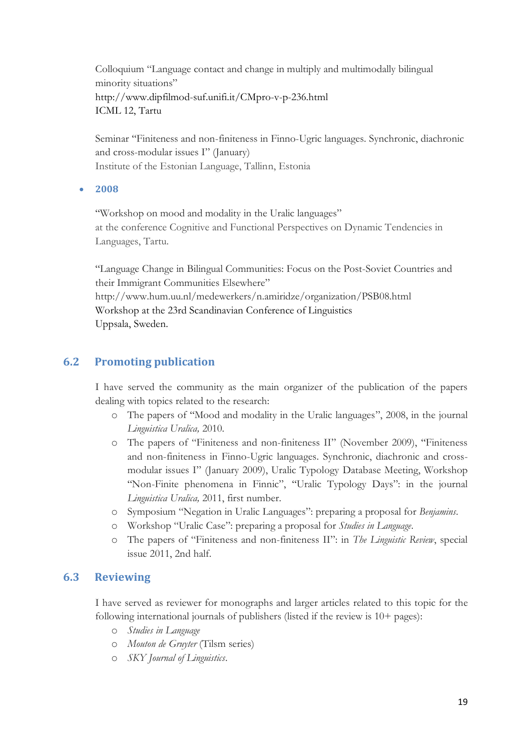Colloquium "Language contact and change in multiply and multimodally bilingual minority situations" http://www.dipfilmod-suf.unifi.it/CMpro-v-p-236.html ICML 12, Tartu

Seminar "Finiteness and non-finiteness in Finno-Ugric languages. Synchronic, diachronic and cross-modular issues I" (January) Institute of the Estonian Language, Tallinn, Estonia

#### <span id="page-18-0"></span>**2008**

"Workshop on mood and modality in the Uralic languages" at the conference Cognitive and Functional Perspectives on Dynamic Tendencies in Languages, Tartu.

―Language Change in Bilingual Communities: Focus on the Post-Soviet Countries and their Immigrant Communities Elsewhere" http://www.hum.uu.nl/medewerkers/n.amiridze/organization/PSB08.html Workshop at the 23rd Scandinavian Conference of Linguistics Uppsala, Sweden.

## <span id="page-18-1"></span>**6.2 Promoting publication**

I have served the community as the main organizer of the publication of the papers dealing with topics related to the research:

- o The papers of "Mood and modality in the Uralic languages", 2008, in the journal *Linguistica Uralica,* 2010.
- o The papers of "Finiteness and non-finiteness II" (November 2009), "Finiteness and non-finiteness in Finno-Ugric languages. Synchronic, diachronic and crossmodular issues I" (January 2009), Uralic Typology Database Meeting, Workshop "Non-Finite phenomena in Finnic", "Uralic Typology Days": in the journal *Linguistica Uralica,* 2011, first number*.*
- o Symposium ―Negation in Uralic Languages‖: preparing a proposal for *Benjamins*.
- o Workshop ―Uralic Case‖: preparing a proposal for *Studies in Language*.
- o The papers of "Finiteness and non-finiteness II": in *The Linguistic Review*, special issue 2011, 2nd half.

## <span id="page-18-2"></span>**6.3 Reviewing**

I have served as reviewer for monographs and larger articles related to this topic for the following international journals of publishers (listed if the review is 10+ pages):

- o *Studies in Language*
- o *Mouton de Gruyter* (Tilsm series)
- o *SKY Journal of Linguistics*.